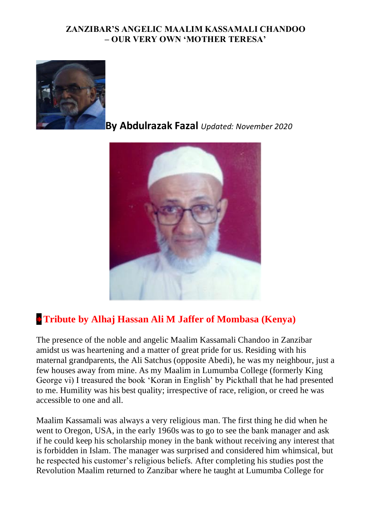## **ZANZIBAR'S ANGELIC MAALIM KASSAMALI CHANDOO – OUR VERY OWN 'MOTHER TERESA'**



**By Abdulrazak Fazal** *Updated: November 2020*



## **[Tribute by Alhaj Hassan Ali M Jaffer of Mombasa \(Kenya\)](https://khojapedia.com/wiki/index.php?title=Kassamali_Chandoo_(Maalim))**

The presence of the noble and angelic Maalim Kassamali Chandoo in Zanzibar amidst us was heartening and a matter of great pride for us. Residing with his maternal grandparents, the Ali Satchus (opposite Abedi), he was my neighbour, just a few houses away from mine. As my Maalim in Lumumba College (formerly King George vi) I treasured the book 'Koran in English' by Pickthall that he had presented to me. Humility was his best quality; irrespective of race, religion, or creed he was accessible to one and all.

Maalim Kassamali was always a very religious man. The first thing he did when he went to Oregon, USA, in the early 1960s was to go to see the bank manager and ask if he could keep his scholarship money in the bank without receiving any interest that is forbidden in Islam. The manager was surprised and considered him whimsical, but he respected his customer's religious beliefs. After completing his studies post the Revolution Maalim returned to Zanzibar where he taught at Lumumba College for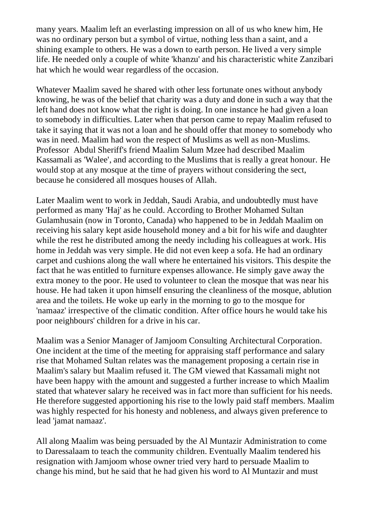many years. Maalim left an everlasting impression on all of us who knew him, He was no ordinary person but a symbol of virtue, nothing less than a saint, and a shining example to others. He was a down to earth person. He lived a very simple life. He needed only a couple of white 'khanzu' and his characteristic white Zanzibari hat which he would wear regardless of the occasion.

Whatever Maalim saved he shared with other less fortunate ones without anybody knowing, he was of the belief that charity was a duty and done in such a way that the left hand does not know what the right is doing. In one instance he had given a loan to somebody in difficulties. Later when that person came to repay Maalim refused to take it saying that it was not a loan and he should offer that money to somebody who was in need. Maalim had won the respect of Muslims as well as non-Muslims. Professor Abdul Sheriff's friend Maalim Salum Mzee had described Maalim Kassamali as 'Walee', and according to the Muslims that is really a great honour. He would stop at any mosque at the time of prayers without considering the sect, because he considered all mosques houses of Allah.

Later Maalim went to work in Jeddah, Saudi Arabia, and undoubtedly must have performed as many 'Haj' as he could. According to Brother Mohamed Sultan Gulamhusain (now in Toronto, Canada) who happened to be in Jeddah Maalim on receiving his salary kept aside household money and a bit for his wife and daughter while the rest he distributed among the needy including his colleagues at work. His home in Jeddah was very simple. He did not even keep a sofa. He had an ordinary carpet and cushions along the wall where he entertained his visitors. This despite the fact that he was entitled to furniture expenses allowance. He simply gave away the extra money to the poor. He used to volunteer to clean the mosque that was near his house. He had taken it upon himself ensuring the cleanliness of the mosque, ablution area and the toilets. He woke up early in the morning to go to the mosque for 'namaaz' irrespective of the climatic condition. After office hours he would take his poor neighbours' children for a drive in his car.

Maalim was a Senior Manager of Jamjoom Consulting Architectural Corporation. One incident at the time of the meeting for appraising staff performance and salary rise that Mohamed Sultan relates was the management proposing a certain rise in Maalim's salary but Maalim refused it. The GM viewed that Kassamali might not have been happy with the amount and suggested a further increase to which Maalim stated that whatever salary he received was in fact more than sufficient for his needs. He therefore suggested apportioning his rise to the lowly paid staff members. Maalim was highly respected for his honesty and nobleness, and always given preference to lead 'jamat namaaz'.

All along Maalim was being persuaded by the Al Muntazir Administration to come to Daressalaam to teach the community children. Eventually Maalim tendered his resignation with Jamjoom whose owner tried very hard to persuade Maalim to change his mind, but he said that he had given his word to Al Muntazir and must